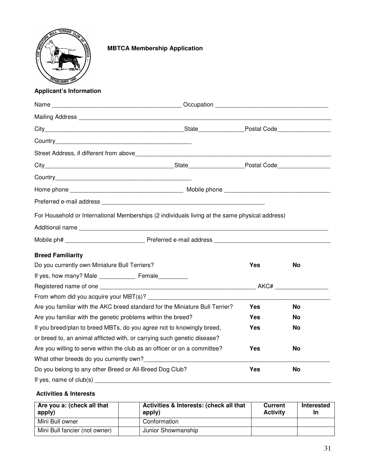

# **MBTCA Membership Application**

## **Applicant's Information**

|                                                                                                                                                                                                                                  | Occupation entertainment and the contract of the contract of the contract of the contract of the contract of the contract of the contract of the contract of the contract of the contract of the contract of the contract of t |           |    |
|----------------------------------------------------------------------------------------------------------------------------------------------------------------------------------------------------------------------------------|--------------------------------------------------------------------------------------------------------------------------------------------------------------------------------------------------------------------------------|-----------|----|
|                                                                                                                                                                                                                                  |                                                                                                                                                                                                                                |           |    |
|                                                                                                                                                                                                                                  |                                                                                                                                                                                                                                |           |    |
|                                                                                                                                                                                                                                  |                                                                                                                                                                                                                                |           |    |
|                                                                                                                                                                                                                                  |                                                                                                                                                                                                                                |           |    |
|                                                                                                                                                                                                                                  |                                                                                                                                                                                                                                |           |    |
|                                                                                                                                                                                                                                  |                                                                                                                                                                                                                                |           |    |
|                                                                                                                                                                                                                                  |                                                                                                                                                                                                                                |           |    |
|                                                                                                                                                                                                                                  |                                                                                                                                                                                                                                |           |    |
| For Household or International Memberships (2 individuals living at the same physical address)                                                                                                                                   |                                                                                                                                                                                                                                |           |    |
|                                                                                                                                                                                                                                  |                                                                                                                                                                                                                                |           |    |
|                                                                                                                                                                                                                                  |                                                                                                                                                                                                                                |           |    |
|                                                                                                                                                                                                                                  |                                                                                                                                                                                                                                |           |    |
| <b>Breed Familiarity</b><br>Do you currently own Miniature Bull Terriers?                                                                                                                                                        |                                                                                                                                                                                                                                | Yes       | No |
|                                                                                                                                                                                                                                  |                                                                                                                                                                                                                                |           |    |
|                                                                                                                                                                                                                                  |                                                                                                                                                                                                                                |           |    |
|                                                                                                                                                                                                                                  |                                                                                                                                                                                                                                |           |    |
| Are you familiar with the AKC breed standard for the Miniature Bull Terrier?                                                                                                                                                     |                                                                                                                                                                                                                                | Yes       | No |
| Are you familiar with the genetic problems within the breed?                                                                                                                                                                     | Yes                                                                                                                                                                                                                            | No        |    |
| If you breed/plan to breed MBTs, do you agree not to knowingly breed,                                                                                                                                                            | Yes                                                                                                                                                                                                                            | No        |    |
| or breed to, an animal afflicted with, or carrying such genetic disease?                                                                                                                                                         |                                                                                                                                                                                                                                |           |    |
| Are you willing to serve within the club as an officer or on a committee?                                                                                                                                                        | Yes                                                                                                                                                                                                                            | No        |    |
| What other breeds do you currently own?<br>Microsoft Allen Management Control of the United States and Wales and Wales and Wales Allen Management Control of the United States and Wales and Wales and Wales and Wales and Wales |                                                                                                                                                                                                                                |           |    |
| Do you belong to any other Breed or All-Breed Dog Club?                                                                                                                                                                          | <b>Yes</b>                                                                                                                                                                                                                     | <b>No</b> |    |
| If yes, name of club(s) __________                                                                                                                                                                                               |                                                                                                                                                                                                                                |           |    |

## **Activities & Interests**

| Are you a: (check all that<br>apply) | Activities & Interests: (check all that<br>apply) | <b>Current</b><br><b>Activity</b> | Interested<br>In |
|--------------------------------------|---------------------------------------------------|-----------------------------------|------------------|
| Mini Bull owner                      | Conformation                                      |                                   |                  |
| Mini Bull fancier (not owner)        | Junior Showmanship                                |                                   |                  |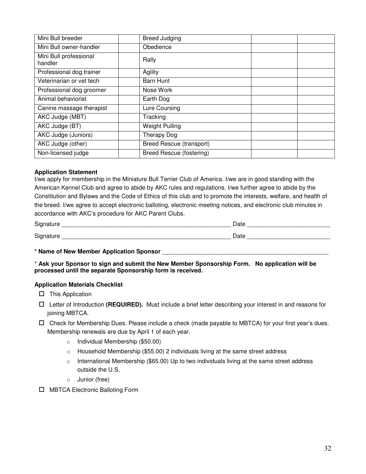| Mini Bull breeder                 | <b>Breed Judging</b>            |  |
|-----------------------------------|---------------------------------|--|
| Mini Bull owner-handler           | Obedience                       |  |
| Mini Bull professional<br>handler | Rally                           |  |
| Professional dog trainer          | Agility                         |  |
| Veterinarian or vet tech          | Barn Hunt                       |  |
| Professional dog groomer          | Nose Work                       |  |
| Animal behaviorist                | Earth Dog                       |  |
| Canine massage therapist          | Lure Coursing                   |  |
| AKC Judge (MBT)                   | Tracking                        |  |
| AKC Judge (BT)                    | <b>Weight Pulling</b>           |  |
| AKC Judge (Juniors)               | Therapy Dog                     |  |
| AKC Judge (other)                 | <b>Breed Rescue (transport)</b> |  |
| Non-licensed judge                | <b>Breed Rescue (fostering)</b> |  |

#### **Application Statement**

I/we apply for membership in the Miniature Bull Terrier Club of America. I/we are in good standing with the American Kennel Club and agree to abide by AKC rules and regulations. I/we further agree to abide by the Constitution and Bylaws and the Code of Ethics of this club and to promote the interests, welfare, and health of the breed. I/we agree to accept electronic balloting, electronic meeting notices, and electronic club minutes in accordance with AKC's procedure for AKC Parent Clubs.

| r.<br>عاد.<br>uu.<br>_____                 | Dalc |
|--------------------------------------------|------|
| r.<br>۱۲.<br>…ui ⊢<br>ັ<br>. .<br>________ | Dalt |

#### **\* Name of New Member Application Sponsor** \_\_\_\_\_\_\_\_\_\_\_\_\_\_\_\_\_\_\_\_\_\_\_\_\_\_\_\_\_\_\_\_\_\_\_\_\_\_\_\_\_\_\_\_\_\_\_\_\_\_

\* **Ask your Sponsor to sign and submit the New Member Sponsorship Form. No application will be processed until the separate Sponsorship form is received.**

#### **Application Materials Checklist**

 $\Box$  This Application

- Letter of Introduction **(REQUIRED).** Must include a brief letter describing your interest in and reasons for joining MBTCA.
- $\Box$  Check for Membership Dues. Please include a check (made payable to MBTCA) for your first year's dues. Membership renewals are due by April 1 of each year.
	- o Individual Membership (\$50.00)
	- o Household Membership (\$55.00) 2 individuals living at the same street address
	- $\circ$  International Membership (\$65.00) Up to two individuals living at the same street address outside the U.S.
	- o Junior (free)
- □ MBTCA Electronic Balloting Form